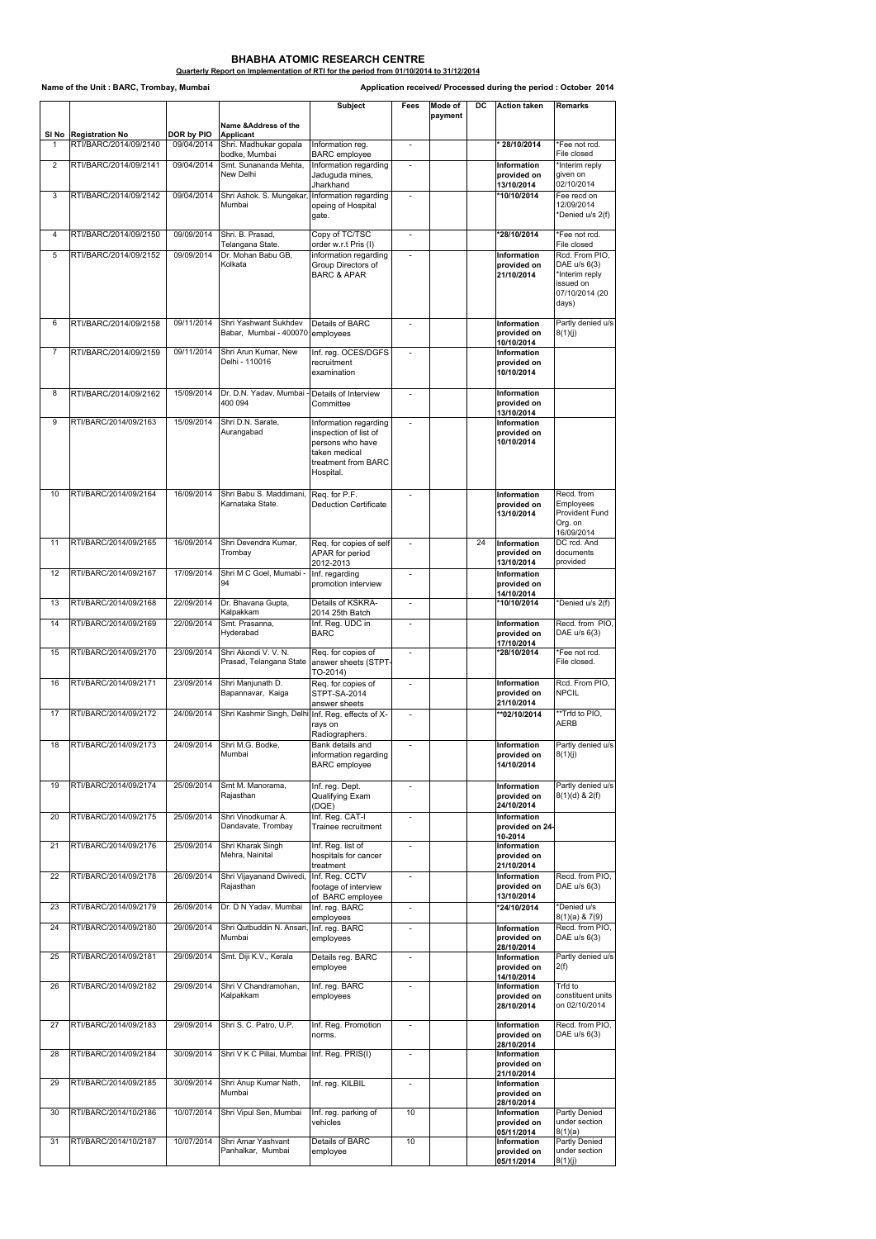|                |                                                  |                                 |                                                          | <b>Subject</b>                                    | <b>Fees</b>              | <b>Mode of</b> | <b>DC</b> | <b>Action taken</b>               | Remarks                                   |
|----------------|--------------------------------------------------|---------------------------------|----------------------------------------------------------|---------------------------------------------------|--------------------------|----------------|-----------|-----------------------------------|-------------------------------------------|
|                |                                                  |                                 | Name &Address of the                                     |                                                   |                          | payment        |           |                                   |                                           |
| 1              | SI No   Registration No<br>RTI/BARC/2014/09/2140 | <b>DOR by PIO</b><br>09/04/2014 | <b>Applicant</b><br>Shri. Madhukar gopala                | Information reg.                                  |                          |                |           | 28/10/2014                        | *Fee not rcd.                             |
|                |                                                  |                                 | bodke, Mumbai                                            | <b>BARC</b> employee                              |                          |                |           |                                   | File closed                               |
| $\overline{2}$ | RTI/BARC/2014/09/2141                            | 09/04/2014                      | Smt. Sunananda Mehta,<br>New Delhi                       | Information regarding                             | $\sim$                   |                |           | <b>Information</b>                | *Interim reply                            |
|                |                                                  |                                 |                                                          | Jaduguda mines,<br>Jharkhand                      |                          |                |           | provided on<br>13/10/2014         | given on<br>02/10/2014                    |
| 3              | RTI/BARC/2014/09/2142                            | 09/04/2014                      | Shri Ashok. S. Mungekar, Information regarding           |                                                   | $\overline{a}$           |                |           | *10/10/2014                       | Fee recd on                               |
|                |                                                  |                                 | Mumbai                                                   | opeing of Hospital                                |                          |                |           |                                   | 12/09/2014                                |
|                |                                                  |                                 |                                                          | gate.                                             |                          |                |           |                                   | *Denied u/s 2(f)                          |
| 4              | RTI/BARC/2014/09/2150                            | 09/09/2014                      | Shri. B. Prasad,                                         | Copy of TC/TSC                                    | $\blacksquare$           |                |           | *28/10/2014                       | *Fee not rcd.                             |
| 5              | RTI/BARC/2014/09/2152                            | 09/09/2014                      | Telangana State.<br>Dr. Mohan Babu GB,                   | order w.r.t Pris (I)<br>information regarding     | $\overline{\phantom{a}}$ |                |           | <b>Information</b>                | File closed<br>Rcd. From PIO,             |
|                |                                                  |                                 | Kolkata                                                  | <b>Group Directors of</b>                         |                          |                |           | provided on                       | DAE u/s 6(3)                              |
|                |                                                  |                                 |                                                          | <b>BARC &amp; APAR</b>                            |                          |                |           | 21/10/2014                        | *Interim reply<br>issued on               |
|                |                                                  |                                 |                                                          |                                                   |                          |                |           |                                   | 07/10/2014 (20                            |
|                |                                                  |                                 |                                                          |                                                   |                          |                |           |                                   | days)                                     |
| 6              | RTI/BARC/2014/09/2158                            | 09/11/2014                      | Shri Yashwant Sukhdev                                    | Details of BARC                                   |                          |                |           | Information                       | Partly denied u/s                         |
|                |                                                  |                                 | Babar, Mumbai - 400070 employees                         |                                                   |                          |                |           | provided on                       | 8(1)(j)                                   |
|                |                                                  |                                 |                                                          |                                                   |                          |                |           | 10/10/2014                        |                                           |
| 7              | RTI/BARC/2014/09/2159                            | 09/11/2014                      | Shri Arun Kumar, New<br>Delhi - 110016                   | Inf. reg. OCES/DGFS<br>recruitment                | $\overline{a}$           |                |           | <b>Information</b><br>provided on |                                           |
|                |                                                  |                                 |                                                          | examination                                       |                          |                |           | 10/10/2014                        |                                           |
|                |                                                  |                                 |                                                          |                                                   |                          |                |           |                                   |                                           |
| 8              | RTI/BARC/2014/09/2162                            | 15/09/2014                      | Dr. D.N. Yadav, Mumbai - Details of Interview<br>400 094 | Committee                                         | $\sim$                   |                |           | Information<br>provided on        |                                           |
|                |                                                  |                                 |                                                          |                                                   |                          |                |           | 13/10/2014                        |                                           |
| 9              | RTI/BARC/2014/09/2163                            | 15/09/2014                      | Shri D.N. Sarate,<br>Aurangabad                          | Information regarding<br>inspection of list of    | $\overline{\phantom{a}}$ |                |           | Information<br>provided on        |                                           |
|                |                                                  |                                 |                                                          | persons who have                                  |                          |                |           | 10/10/2014                        |                                           |
|                |                                                  |                                 |                                                          | Itaken medical                                    |                          |                |           |                                   |                                           |
|                |                                                  |                                 |                                                          | treatment from BARC<br>Hospital.                  |                          |                |           |                                   |                                           |
|                |                                                  |                                 |                                                          |                                                   |                          |                |           |                                   |                                           |
| 10             | RTI/BARC/2014/09/2164                            | 16/09/2014                      | Shri Babu S. Maddimani,                                  | Req. for P.F.                                     | $\overline{\phantom{a}}$ |                |           | Information                       | Recd. from                                |
|                |                                                  |                                 | Karnataka State.                                         | Deduction Certificate                             |                          |                |           | provided on<br>13/10/2014         | <b>Employees</b><br><b>Provident Fund</b> |
|                |                                                  |                                 |                                                          |                                                   |                          |                |           |                                   | Org. on                                   |
|                |                                                  |                                 |                                                          |                                                   |                          |                |           |                                   | 16/09/2014                                |
| 11             | RTI/BARC/2014/09/2165                            | 16/09/2014                      | Shri Devendra Kumar,<br>Trombay                          | Req. for copies of self<br><b>APAR</b> for period | $\sim$                   |                | 24        | Information<br>provided on        | DC rcd. And<br>documents                  |
|                |                                                  |                                 |                                                          | 2012-2013                                         |                          |                |           | 13/10/2014                        | provided                                  |
| 12             | RTI/BARC/2014/09/2167                            | 17/09/2014                      | Shri M C Goel, Mumabi -                                  | Inf. regarding                                    | $\overline{\phantom{a}}$ |                |           | Information                       |                                           |
|                |                                                  |                                 | 94                                                       | promotion interview                               |                          |                |           | provided on<br>14/10/2014         |                                           |
| 13             | RTI/BARC/2014/09/2168                            | 22/09/2014                      | Dr. Bhavana Gupta,                                       | <b>Details of KSKRA-</b>                          | $\blacksquare$           |                |           | *10/10/2014                       | *Denied u/s 2(f)                          |
|                |                                                  |                                 | Kalpakkam                                                | 2014 25th Batch                                   |                          |                |           |                                   |                                           |
| 14             | RTI/BARC/2014/09/2169                            | 22/09/2014                      | Smt. Prasanna,<br>Hyderabad                              | Inf. Reg. UDC in<br><b>BARC</b>                   |                          |                |           | Information<br>provided on        | Recd. from PIO,<br>DAE u/s 6(3)           |
|                |                                                  |                                 |                                                          |                                                   |                          |                |           | 17/10/2014                        |                                           |
| 15             | RTI/BARC/2014/09/2170                            | 23/09/2014                      | Shri Akondi V. V. N.<br>Prasad, Telangana State          | Req. for copies of<br>answer sheets (STPT-        | $\blacksquare$           |                |           | *28/10/2014                       | *Fee not rcd.<br>File closed.             |
|                |                                                  |                                 |                                                          | $TO-2014)$                                        |                          |                |           |                                   |                                           |
| 16             | RTI/BARC/2014/09/2171                            | 23/09/2014                      | Shri Manjunath D.                                        | Req. for copies of                                |                          |                |           | <b>Information</b>                | Rcd. From PIO,                            |
|                |                                                  |                                 | Bapannavar, Kaiga                                        | STPT-SA-2014<br>answer sheets                     |                          |                |           | provided on<br>21/10/2014         | <b>NPCIL</b>                              |
| 17             | RTI/BARC/2014/09/2172                            | 24/09/2014                      | Shri Kashmir Singh, Delhi Inf. Reg. effects of X-        |                                                   | $\overline{\phantom{a}}$ |                |           | **02/10/2014                      | **Trfd to PIO,                            |
|                |                                                  |                                 |                                                          | rays on                                           |                          |                |           |                                   | <b>AERB</b>                               |
| 18             | RTI/BARC/2014/09/2173                            | 24/09/2014                      | Shri M.G. Bodke,                                         | Radiographers.<br>Bank details and                |                          |                |           | <b>Information</b>                | Partly denied u/s                         |
|                |                                                  |                                 | Mumbai                                                   | information regarding                             |                          |                |           | provided on                       | 8(1)(j)                                   |
|                |                                                  |                                 |                                                          | <b>BARC</b> employee                              |                          |                |           | 14/10/2014                        |                                           |
| 19             | RTI/BARC/2014/09/2174                            | 25/09/2014                      | Smt M. Manorama,                                         | Inf. reg. Dept.                                   | $\sim$                   |                |           | Information                       | Partly denied u/s                         |
|                |                                                  |                                 | Rajasthan                                                | <b>Qualifying Exam</b>                            |                          |                |           | provided on                       | $8(1)(d)$ & 2(f)                          |
|                |                                                  |                                 |                                                          | (DQE)                                             |                          |                |           | 24/10/2014                        |                                           |
| 20             | RTI/BARC/2014/09/2175                            | 25/09/2014                      | Shri Vinodkumar A.<br>Dandavate, Trombay                 | Inf. Reg. CAT-I<br>Trainee recruitment            | $\overline{\phantom{a}}$ |                |           | Information<br>provided on 24-    |                                           |
|                |                                                  |                                 |                                                          |                                                   |                          |                |           | 10-2014                           |                                           |
| 21             | RTI/BARC/2014/09/2176                            | 25/09/2014                      | Shri Kharak Singh<br>Mehra, Nainital                     | Inf. Reg. list of<br>hospitals for cancer         | $\overline{a}$           |                |           | <b>Information</b><br>provided on |                                           |
|                |                                                  |                                 |                                                          | treatment                                         |                          |                |           | 21/10/2014                        |                                           |
| 22             | RTI/BARC/2014/09/2178                            | 26/09/2014                      | Shri Vijayanand Dwivedi,  Inf. Reg. CCTV                 |                                                   |                          |                |           | Information                       | Recd. from PIO,                           |
|                |                                                  |                                 | Rajasthan                                                | footage of interview<br>of BARC employee          |                          |                |           | provided on<br>13/10/2014         | DAE u/s 6(3)                              |
| 23             | RTI/BARC/2014/09/2179                            | 26/09/2014                      | Dr. D N Yadav, Mumbai                                    | Inf. reg. BARC                                    | $\blacksquare$           |                |           | *24/10/2014                       | *Denied u/s                               |
|                |                                                  |                                 |                                                          | employees                                         |                          |                |           |                                   | 8(1)(a) 8 7(9)                            |
| 24             | RTI/BARC/2014/09/2180                            | 29/09/2014                      | Shri Qutbuddin N. Ansari, Inf. reg. BARC<br>Mumbai       | employees                                         |                          |                |           | Information<br>provided on        | Recd. from PIO,<br>DAE u/s 6(3)           |
|                |                                                  |                                 |                                                          |                                                   |                          |                |           | 28/10/2014                        |                                           |
| 25             | RTI/BARC/2014/09/2181                            | 29/09/2014                      | Smt. Diji K.V., Kerala                                   | Details reg. BARC<br>employee                     | $\blacksquare$           |                |           | <b>Information</b><br>provided on | Partly denied u/s<br>2(f)                 |
|                |                                                  |                                 |                                                          |                                                   |                          |                |           | 14/10/2014                        |                                           |
| 26             | RTI/BARC/2014/09/2182                            | 29/09/2014                      | Shri V Chandramohan,<br>Kalpakkam                        | Inf. reg. BARC                                    |                          |                |           | Information<br>provided on        | Trfd to<br>constituent units              |
|                |                                                  |                                 |                                                          | employees                                         |                          |                |           | 28/10/2014                        | on 02/10/2014                             |
|                |                                                  |                                 |                                                          |                                                   |                          |                |           |                                   |                                           |
| 27             | RTI/BARC/2014/09/2183                            | 29/09/2014                      | Shri S. C. Patro, U.P.                                   | Inf. Reg. Promotion<br>norms.                     | $\blacksquare$           |                |           | Information<br>provided on        | Recd. from PIO,<br>DAE u/s 6(3)           |
|                |                                                  |                                 |                                                          |                                                   |                          |                |           | 28/10/2014                        |                                           |
| 28             | RTI/BARC/2014/09/2184                            | 30/09/2014                      | Shri V K C Pillai, Mumbai Inf. Reg. PRIS(I)              |                                                   | $\overline{\phantom{a}}$ |                |           | <b>Information</b><br>provided on |                                           |
|                |                                                  |                                 |                                                          |                                                   |                          |                |           | 21/10/2014                        |                                           |
| 29             | RTI/BARC/2014/09/2185                            | 30/09/2014                      | Shri Anup Kumar Nath,<br>Mumbai                          | Inf. reg. KILBIL                                  |                          |                |           | Information                       |                                           |
|                |                                                  |                                 |                                                          |                                                   |                          |                |           | provided on<br>28/10/2014         |                                           |
| 30             | RTI/BARC/2014/10/2186                            | 10/07/2014                      | Shri Vipul Sen, Mumbai                                   | Inf. reg. parking of                              | 10                       |                |           | Information                       | <b>Partly Denied</b>                      |
|                |                                                  |                                 |                                                          | vehicles                                          |                          |                |           | provided on<br>05/11/2014         | under section<br>8(1)(a)                  |
| 31             | RTI/BARC/2014/10/2187                            | 10/07/2014                      | Shri Amar Yashvant                                       | <b>Details of BARC</b>                            | $\overline{10}$          |                |           | <b>Information</b>                | <b>Partly Denied</b>                      |
|                |                                                  |                                 | Panhalkar, Mumbai                                        | employee                                          |                          |                |           | provided on<br>05/11/2014         | under section<br>8(1)(j)                  |

## **BHABHA ATOMIC RESEARCH CENTRE**

## **Quarterly Report on Implementation of RTI for the period from 01/10/2014 to 31/12/2014**

Name of the Unit : BARC, Trombay, Mumbai **All and Conserverse Conserverse** Application received/ Processed during the period : October 2014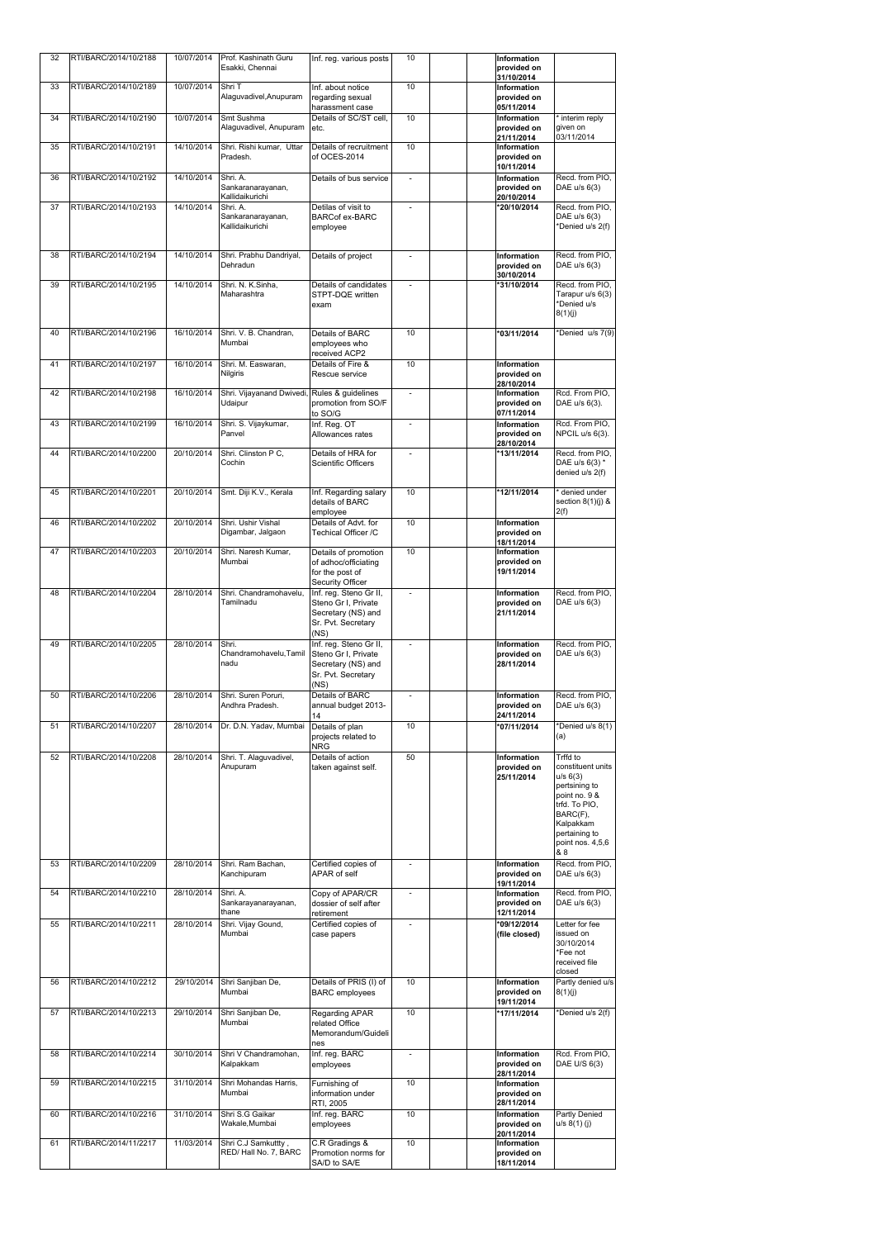| 32 | RTI/BARC/2014/10/2188 | 10/07/2014 | Prof. Kashinath Guru<br>Esakki, Chennai                         | Inf. reg. various posts                                                 | 10                       | Information<br>provided on                      |                                                                                                                                                                   |
|----|-----------------------|------------|-----------------------------------------------------------------|-------------------------------------------------------------------------|--------------------------|-------------------------------------------------|-------------------------------------------------------------------------------------------------------------------------------------------------------------------|
| 33 | RTI/BARC/2014/10/2189 | 10/07/2014 | Shri T                                                          | Inf. about notice                                                       | 10                       | 31/10/2014<br><b>Information</b>                |                                                                                                                                                                   |
|    |                       |            | Alaguvadivel, Anupuram                                          | regarding sexual<br>harassment case                                     |                          | provided on<br>05/11/2014                       |                                                                                                                                                                   |
| 34 | RTI/BARC/2014/10/2190 | 10/07/2014 | Smt Sushma<br>Alaguvadivel, Anupuram                            | Details of SC/ST cell,<br>letc.                                         | 10                       | <b>Information</b><br>provided on<br>21/11/2014 | interim reply<br>given on<br>03/11/2014                                                                                                                           |
| 35 | RTI/BARC/2014/10/2191 | 14/10/2014 | Shri. Rishi kumar, Uttar<br>Pradesh.                            | Details of recruitment<br>of OCES-2014                                  | 10                       | <b>Information</b><br>provided on               |                                                                                                                                                                   |
| 36 | RTI/BARC/2014/10/2192 | 14/10/2014 | Shri. A.                                                        | Details of bus service                                                  | $\blacksquare$           | 10/11/2014<br><b>Information</b>                | Recd. from PIO,                                                                                                                                                   |
|    |                       |            | Sankaranarayanan,<br>Kallidaikurichi                            |                                                                         |                          | provided on<br>20/10/2014                       | DAE u/s 6(3)                                                                                                                                                      |
| 37 | RTI/BARC/2014/10/2193 | 14/10/2014 | Shri. A.<br>Sankaranarayanan,<br>Kallidaikurichi                | Detilas of visit to<br><b>BARCof ex-BARC</b><br>employee                |                          | *20/10/2014                                     | Recd. from PIO,<br>DAE u/s 6(3)<br>*Denied u/s 2(f)                                                                                                               |
| 38 | RTI/BARC/2014/10/2194 | 14/10/2014 | Shri. Prabhu Dandriyal,<br>Dehradun                             | Details of project                                                      |                          | <b>Information</b><br>provided on<br>30/10/2014 | Recd. from PIO,<br>DAE u/s 6(3)                                                                                                                                   |
| 39 | RTI/BARC/2014/10/2195 | 14/10/2014 | Shri. N. K.Sinha,<br>Maharashtra                                | Details of candidates<br>STPT-DQE written<br>exam                       | $\overline{\phantom{a}}$ | *31/10/2014                                     | Recd. from PIO,<br>Tarapur u/s 6(3)<br>*Denied u/s<br>8(1)(j)                                                                                                     |
| 40 | RTI/BARC/2014/10/2196 | 16/10/2014 | Shri. V. B. Chandran,<br>Mumbai                                 | Details of BARC<br>employees who                                        | 10                       | *03/11/2014                                     | *Denied $u/s$ 7(9)                                                                                                                                                |
| 41 | RTI/BARC/2014/10/2197 | 16/10/2014 | Shri. M. Easwaran,                                              | received ACP2<br>Details of Fire &                                      | 10                       | <b>Information</b>                              |                                                                                                                                                                   |
| 42 | RTI/BARC/2014/10/2198 | 16/10/2014 | <b>Nilgiris</b><br>Shri. Vijayanand Dwivedi, Rules & guidelines | Rescue service                                                          |                          | provided on<br>28/10/2014<br><b>Information</b> | Rcd. From PIO,                                                                                                                                                    |
|    |                       |            | <b>Udaipur</b>                                                  | promotion from SO/F<br>to SO/G                                          |                          | provided on<br>07/11/2014                       | DAE u/s 6(3).                                                                                                                                                     |
| 43 | RTI/BARC/2014/10/2199 | 16/10/2014 | Shri. S. Vijaykumar,<br>Panvel                                  | Inf. Reg. OT<br>Allowances rates                                        |                          | <b>Information</b><br>provided on<br>28/10/2014 | Rcd. From PIO,<br>NPCIL u/s 6(3).                                                                                                                                 |
| 44 | RTI/BARC/2014/10/2200 | 20/10/2014 | Shri. Clinston P C,<br>Cochin                                   | Details of HRA for<br><b>Scientific Officers</b>                        | $\overline{a}$           | *13/11/2014                                     | Recd. from PIO,<br>DAE u/s 6(3) *<br>denied u/s 2(f)                                                                                                              |
| 45 | RTI/BARC/2014/10/2201 | 20/10/2014 | Smt. Diji K.V., Kerala                                          | Inf. Regarding salary<br>details of BARC                                | 10                       | *12/11/2014                                     | denied under<br>section $8(1)(j)$ &                                                                                                                               |
| 46 | RTI/BARC/2014/10/2202 | 20/10/2014 | Shri. Ushir Vishal<br>Digambar, Jalgaon                         | employee<br>Details of Advt. for<br><b>Techical Officer /C</b>          | 10                       | <b>Information</b><br>provided on               | 2(f)                                                                                                                                                              |
| 47 | RTI/BARC/2014/10/2203 | 20/10/2014 | Shri. Naresh Kumar,                                             | Details of promotion                                                    | 10                       | 18/11/2014<br><b>Information</b>                |                                                                                                                                                                   |
|    |                       |            | Mumbai                                                          | of adhoc/officiating<br>for the post of<br><b>Security Officer</b>      |                          | provided on<br>19/11/2014                       |                                                                                                                                                                   |
| 48 | RTI/BARC/2014/10/2204 | 28/10/2014 | Shri. Chandramohavelu.<br>Tamilnadu                             | Inf. reg. Steno Gr II,<br>Steno Gr I, Private                           | $\blacksquare$           | <b>Information</b><br>provided on               | Recd. from PIO,<br>DAE u/s 6(3)                                                                                                                                   |
|    |                       |            |                                                                 | Secretary (NS) and<br>Sr. Pvt. Secretary<br>(NS)                        |                          | 21/11/2014                                      |                                                                                                                                                                   |
| 49 | RTI/BARC/2014/10/2205 | 28/10/2014 | Shri.<br>Chandramohavelu, Tamil                                 | Inf. reg. Steno Gr II,                                                  |                          | <b>Information</b>                              | Recd. from PIO,                                                                                                                                                   |
|    |                       |            | nadu                                                            | Steno Gr I, Private<br>Secretary (NS) and<br>Sr. Pvt. Secretary<br>(NS) |                          | provided on<br>28/11/2014                       | DAE u/s 6(3)                                                                                                                                                      |
| 50 | RTI/BARC/2014/10/2206 | 28/10/2014 | Shri. Suren Poruri,<br>Andhra Pradesh.                          | <b>Details of BARC</b><br>annual budget 2013-<br>14                     |                          | <b>Information</b><br>provided on<br>24/11/2014 | Recd. from PIO,<br>DAE u/s 6(3)                                                                                                                                   |
| 51 | RTI/BARC/2014/10/2207 | 28/10/2014 | Dr. D.N. Yadav, Mumbai                                          | Details of plan<br>projects related to<br><b>NRG</b>                    | 10                       | *07/11/2014                                     | *Denied u/s 8(1)<br>(a)                                                                                                                                           |
| 52 | RTI/BARC/2014/10/2208 | 28/10/2014 | Shri. T. Alaguvadivel,<br>Anupuram                              | Details of action<br>taken against self.                                | 50                       | <b>Information</b><br>provided on<br>25/11/2014 | Trffd to<br>constituent units<br>u/s 6(3)<br>pertsining to<br>point no. 9 &<br>trfd. To PIO,<br>BARC(F),<br>Kalpakkam<br>pertaining to<br>point nos. 4,5,6<br>& 8 |
| 53 | RTI/BARC/2014/10/2209 | 28/10/2014 | Shri. Ram Bachan,<br>Kanchipuram                                | Certified copies of<br><b>APAR of self</b>                              |                          | <b>Information</b><br>provided on<br>19/11/2014 | Recd. from PIO.<br>DAE u/s 6(3)                                                                                                                                   |
| 54 | RTI/BARC/2014/10/2210 | 28/10/2014 | Shri. A.<br>Sankarayanarayanan,<br>thane                        | Copy of APAR/CR<br>dossier of self after<br>retirement                  | $\overline{\phantom{a}}$ | <b>Information</b><br>provided on<br>12/11/2014 | Recd. from PIO,<br>DAE $u/s$ 6(3)                                                                                                                                 |
| 55 | RTI/BARC/2014/10/2211 | 28/10/2014 | Shri. Vijay Gound,<br>Mumbai                                    | Certified copies of<br>case papers                                      | $\overline{\phantom{a}}$ | *09/12/2014<br>(file closed)                    | Letter for fee<br>issued on<br>30/10/2014<br>*Fee not<br>received file<br>closed                                                                                  |
| 56 | RTI/BARC/2014/10/2212 | 29/10/2014 | Shri Sanjiban De,<br>Mumbai                                     | Details of PRIS (I) of<br><b>BARC</b> employees                         | 10                       | <b>Information</b><br>provided on<br>19/11/2014 | Partly denied u/s<br>8(1)(j)                                                                                                                                      |
| 57 | RTI/BARC/2014/10/2213 | 29/10/2014 | Shri Sanjiban De,<br>Mumbai                                     | <b>Regarding APAR</b><br>related Office<br>Memorandum/Guideli<br>nes    | 10                       | *17/11/2014                                     | *Denied u/s 2(f)                                                                                                                                                  |
| 58 | RTI/BARC/2014/10/2214 | 30/10/2014 | Shri V Chandramohan,<br>Kalpakkam                               | Inf. reg. BARC<br>employees                                             |                          | <b>Information</b><br>provided on<br>28/11/2014 | Rcd. From PIO,<br>DAE U/S 6(3)                                                                                                                                    |
| 59 | RTI/BARC/2014/10/2215 | 31/10/2014 | Shri Mohandas Harris,<br>Mumbai                                 | Furnishing of<br>information under<br><b>RTI, 2005</b>                  | 10                       | <b>Information</b><br>provided on<br>28/11/2014 |                                                                                                                                                                   |
| 60 | RTI/BARC/2014/10/2216 | 31/10/2014 | Shri S.G Gaikar<br>Wakale, Mumbai                               | Inf. reg. BARC<br>employees                                             | 10                       | <b>Information</b><br>provided on               | <b>Partly Denied</b><br>$u/s 8(1)$ (j)                                                                                                                            |
| 61 | RTI/BARC/2014/11/2217 | 11/03/2014 | Shri C.J Samkuttty,<br>RED/Hall No. 7, BARC                     | C.R Gradings &<br>Promotion norms for                                   | 10                       | 20/11/2014<br><b>Information</b><br>provided on |                                                                                                                                                                   |
|    |                       |            |                                                                 | SA/D to SA/E                                                            |                          | 18/11/2014                                      |                                                                                                                                                                   |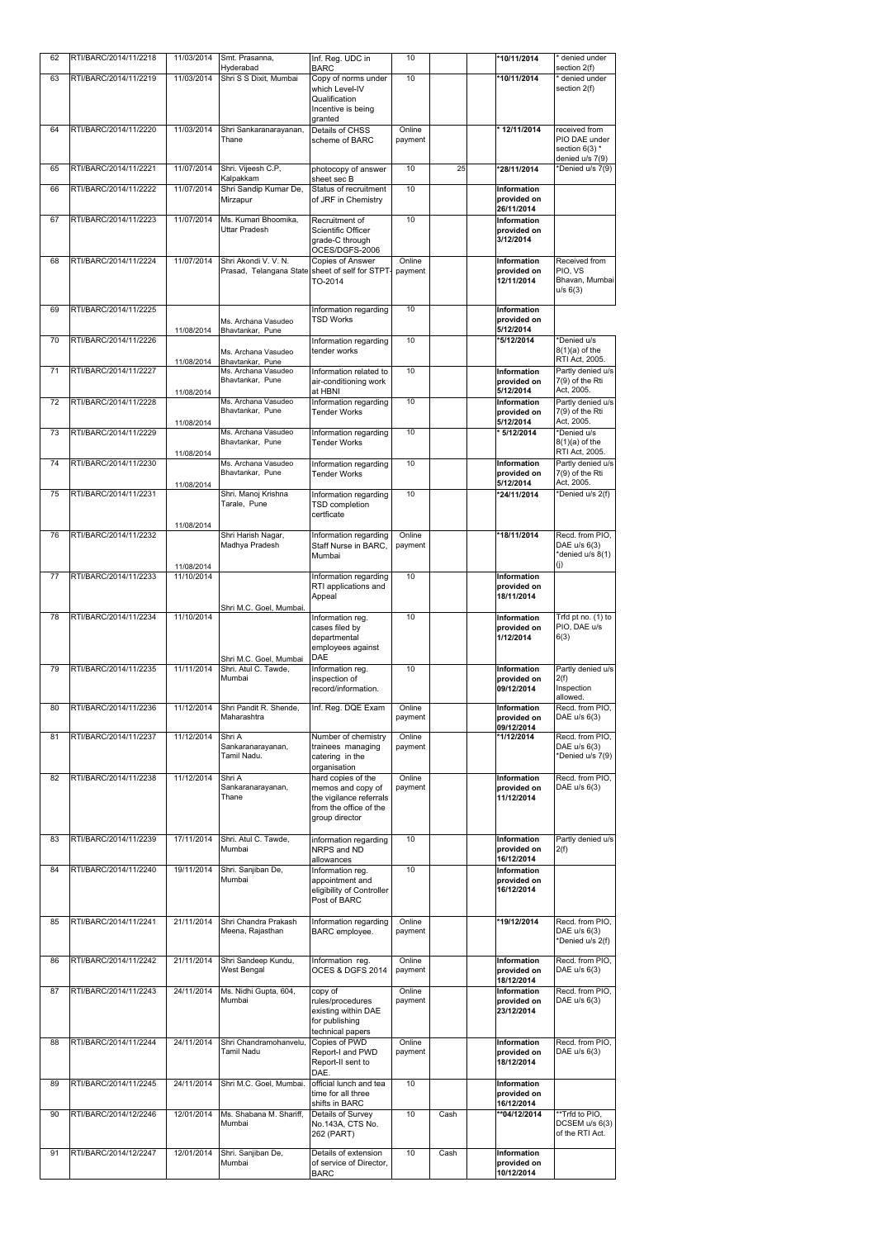| 62 | RTI/BARC/2014/11/2218 | 11/03/2014               | Smt. Prasanna,                                  | Inf. Reg. UDC in                                | 10                |      | *10/11/2014                       | denied under                         |
|----|-----------------------|--------------------------|-------------------------------------------------|-------------------------------------------------|-------------------|------|-----------------------------------|--------------------------------------|
| 63 | RTI/BARC/2014/11/2219 | 11/03/2014               | Hyderabad<br>Shri S S Dixit, Mumbai             | <b>BARC</b><br>Copy of norms under              | 10                |      | *10/11/2014                       | section 2(f)<br>denied under         |
|    |                       |                          |                                                 | which Level-IV<br>Qualification                 |                   |      |                                   | section 2(f)                         |
|    |                       |                          |                                                 | Incentive is being                              |                   |      |                                   |                                      |
| 64 | RTI/BARC/2014/11/2220 | 11/03/2014               | Shri Sankaranarayanan,                          | granted<br>Details of CHSS                      | Online            |      | * 12/11/2014                      | received from                        |
|    |                       |                          | Thane                                           | scheme of BARC                                  | payment           |      |                                   | PIO DAE under<br>section $6(3)$ *    |
|    |                       |                          |                                                 |                                                 |                   |      |                                   | denied u/s 7(9)                      |
| 65 | RTI/BARC/2014/11/2221 | 11/07/2014               | Shri. Vijeesh C.P,<br>Kalpakkam                 | photocopy of answer<br>sheet sec B              | 10                | 25   | *28/11/2014                       | *Denied u/s 7(9)                     |
| 66 | RTI/BARC/2014/11/2222 | 11/07/2014               | Shri Sandip Kumar De,<br>Mirzapur               | Status of recruitment<br>of JRF in Chemistry    | 10                |      | <b>Information</b><br>provided on |                                      |
|    |                       |                          |                                                 |                                                 |                   |      | 26/11/2014                        |                                      |
| 67 | RTI/BARC/2014/11/2223 | 11/07/2014               | Ms. Kumari Bhoomika,<br><b>Uttar Pradesh</b>    | Recruitment of<br><b>Scientific Officer</b>     | 10                |      | <b>Information</b><br>provided on |                                      |
|    |                       |                          |                                                 | grade-C through<br>OCES/DGFS-2006               |                   |      | 3/12/2014                         |                                      |
| 68 | RTI/BARC/2014/11/2224 | 11/07/2014               | Shri Akondi V. V. N.                            | Copies of Answer                                | Online            |      | Information                       | Received from                        |
|    |                       |                          | Prasad, Telangana State sheet of self for STPT- | TO-2014                                         | payment           |      | provided on<br>12/11/2014         | PIO, VS<br>Bhavan, Mumbai            |
|    |                       |                          |                                                 |                                                 |                   |      |                                   | u/s 6(3)                             |
| 69 | RTI/BARC/2014/11/2225 |                          |                                                 | Information regarding                           | $\overline{10}$   |      | Information                       |                                      |
|    |                       | 11/08/2014               | Ms. Archana Vasudeo<br>Bhavtankar, Pune         | <b>TSD Works</b>                                |                   |      | provided on<br>5/12/2014          |                                      |
| 70 | RTI/BARC/2014/11/2226 |                          |                                                 | Information regarding<br>tender works           | 10                |      | *5/12/2014                        | *Denied u/s<br>$8(1)(a)$ of the      |
|    |                       | 11/08/2014               | Ms. Archana Vasudeo<br>Bhavtankar, Pune         |                                                 |                   |      |                                   | RTI Act, 2005.                       |
| 71 | RTI/BARC/2014/11/2227 |                          | Ms. Archana Vasudeo<br>Bhavtankar, Pune         | Information related to<br>air-conditioning work | 10                |      | Information<br>provided on        | Partly denied u/s<br>7(9) of the Rti |
|    |                       | 11/08/2014               |                                                 | at HBNI                                         |                   |      | 5/12/2014                         | Act, 2005.                           |
| 72 | RTI/BARC/2014/11/2228 |                          | Ms. Archana Vasudeo<br>Bhavtankar, Pune         | Information regarding<br><b>Tender Works</b>    | 10                |      | <b>Information</b><br>provided on | Partly denied u/s<br>7(9) of the Rti |
|    |                       | 11/08/2014               |                                                 |                                                 |                   |      | 5/12/2014                         | Act, 2005.                           |
| 73 | RTI/BARC/2014/11/2229 |                          | Ms. Archana Vasudeo<br>Bhavtankar, Pune         | Information regarding<br><b>Tender Works</b>    | 10                |      | * 5/12/2014                       | *Denied u/s<br>$8(1)(a)$ of the      |
|    |                       | 11/08/2014               |                                                 |                                                 | $\overline{10}$   |      |                                   | RTI Act, 2005.                       |
| 74 | RTI/BARC/2014/11/2230 |                          | Ms. Archana Vasudeo<br>Bhavtankar, Pune         | Information regarding<br><b>Tender Works</b>    |                   |      | Information<br>provided on        | Partly denied u/s<br>7(9) of the Rti |
| 75 | RTI/BARC/2014/11/2231 | 11/08/2014               | Shri. Manoj Krishna                             | Information regarding                           | 10                |      | 5/12/2014<br>*24/11/2014          | Act, 2005.<br>*Denied u/s 2(f)       |
|    |                       |                          | Tarale, Pune                                    | <b>TSD</b> completion                           |                   |      |                                   |                                      |
|    |                       | 11/08/2014               |                                                 | certficate                                      |                   |      |                                   |                                      |
| 76 | RTI/BARC/2014/11/2232 |                          | Shri Harish Nagar,<br>Madhya Pradesh            | Information regarding<br>Staff Nurse in BARC,   | Online            |      | *18/11/2014                       | Recd. from PIO,<br>DAE u/s 6(3)      |
|    |                       |                          |                                                 | Mumbai                                          | payment           |      |                                   | *denied u/s 8(1)                     |
| 77 | RTI/BARC/2014/11/2233 | 11/08/2014<br>11/10/2014 |                                                 | Information regarding                           | 10                |      | Information                       | (j)                                  |
|    |                       |                          |                                                 | RTI applications and                            |                   |      | provided on                       |                                      |
|    |                       |                          | Shri M.C. Goel, Mumbai.                         | Appeal                                          |                   |      | 18/11/2014                        |                                      |
| 78 | RTI/BARC/2014/11/2234 | 11/10/2014               |                                                 | Information reg.                                | $\overline{10}$   |      | Information                       | Trfd pt no. (1) to<br>PIO, DAE u/s   |
|    |                       |                          |                                                 | cases filed by<br>departmental                  |                   |      | provided on<br>1/12/2014          | 6(3)                                 |
|    |                       |                          | Shri M.C. Goel, Mumbai                          | employees against<br><b>DAE</b>                 |                   |      |                                   |                                      |
| 79 | RTI/BARC/2014/11/2235 | 11/11/2014               | Shri. Atul C. Tawde,                            | Information reg.                                | 10                |      | Information                       | Partly denied u/s                    |
|    |                       |                          | Mumbai                                          | inspection of<br>record/information.            |                   |      | provided on<br>09/12/2014         | 2(f)<br>Inspection                   |
| 80 | RTI/BARC/2014/11/2236 | 11/12/2014               | Shri Pandit R. Shende,                          |                                                 | Online            |      | Information                       | allowed.<br>Recd. from PIO,          |
|    |                       |                          | Maharashtra                                     | Inf. Reg. DQE Exam                              | payment           |      | provided on                       | DAE u/s 6(3)                         |
| 81 | RTI/BARC/2014/11/2237 | 11/12/2014               | Shri A                                          | Number of chemistry                             | Online            |      | 09/12/2014<br>*1/12/2014          | Recd. from PIO,                      |
|    |                       |                          | Sankaranarayanan,<br>Tamil Nadu.                | trainees managing                               | payment           |      |                                   | DAE u/s 6(3)<br>*Denied u/s 7(9)     |
|    |                       |                          |                                                 | catering in the<br>organisation                 |                   |      |                                   |                                      |
| 82 | RTI/BARC/2014/11/2238 | 11/12/2014               | Shri A<br>Sankaranarayanan,                     | hard copies of the<br>memos and copy of         | Online<br>payment |      | Information<br>provided on        | Recd. from PIO.<br>DAE u/s 6(3)      |
|    |                       |                          | Thane                                           | the vigilance referrals                         |                   |      | 11/12/2014                        |                                      |
|    |                       |                          |                                                 | from the office of the<br>group director        |                   |      |                                   |                                      |
| 83 | RTI/BARC/2014/11/2239 | 17/11/2014               | Shri. Atul C. Tawde,                            | information regarding                           | 10                |      | Information                       | Partly denied u/s                    |
|    |                       |                          | Mumbai                                          | NRPS and ND                                     |                   |      | provided on                       | 2(f)                                 |
| 84 | RTI/BARC/2014/11/2240 | 19/11/2014               | Shri. Sanjiban De,                              | allowances<br>Information reg.                  | 10                |      | 16/12/2014<br><b>Information</b>  |                                      |
|    |                       |                          | Mumbai                                          | appointment and                                 |                   |      | provided on<br>16/12/2014         |                                      |
|    |                       |                          |                                                 | eligibility of Controller<br>Post of BARC       |                   |      |                                   |                                      |
| 85 | RTI/BARC/2014/11/2241 | 21/11/2014               | Shri Chandra Prakash                            | Information regarding                           | Online            |      | *19/12/2014                       | Recd. from PIO,                      |
|    |                       |                          | Meena, Rajasthan                                | <b>BARC</b> employee.                           | payment           |      |                                   | DAE u/s 6(3)                         |
|    |                       |                          |                                                 |                                                 |                   |      |                                   | *Denied u/s 2(f)                     |
| 86 | RTI/BARC/2014/11/2242 | 21/11/2014               | Shri Sandeep Kundu,<br><b>West Bengal</b>       | Information reg.<br>OCES & DGFS 2014            | Online<br>payment |      | Information<br>provided on        | Recd. from PIO,<br>DAE u/s 6(3)      |
|    |                       |                          |                                                 |                                                 |                   |      | 18/12/2014                        |                                      |
| 87 | RTI/BARC/2014/11/2243 | 24/11/2014               | Ms. Nidhi Gupta, 604,<br>Mumbai                 | copy of<br>rules/procedures                     | Online<br>payment |      | Information<br>provided on        | Recd. from PIO,<br>DAE u/s 6(3)      |
|    |                       |                          |                                                 | existing within DAE                             |                   |      | 23/12/2014                        |                                      |
|    |                       |                          |                                                 | for publishing<br>technical papers              |                   |      |                                   |                                      |
| 88 | RTI/BARC/2014/11/2244 | 24/11/2014               | Shri Chandramohanvelu,<br><b>Tamil Nadu</b>     | Copies of PWD                                   | Online            |      | <b>Information</b>                | Recd. from PIO,<br>DAE u/s 6(3)      |
|    |                       |                          |                                                 | <b>Report-I and PWD</b><br>Report-II sent to    | payment           |      | provided on<br>18/12/2014         |                                      |
| 89 | RTI/BARC/2014/11/2245 | 24/11/2014               | Shri M.C. Goel, Mumbai.                         | DAE.<br>official lunch and tea                  | 10                |      | Information                       |                                      |
|    |                       |                          |                                                 | time for all three                              |                   |      | provided on                       |                                      |
| 90 | RTI/BARC/2014/12/2246 | 12/01/2014               | Ms. Shabana M. Shariff,                         | shifts in BARC<br>Details of Survey             | 10                | Cash | 16/12/2014<br>**04/12/2014        | **Trfd to PIO,                       |
|    |                       |                          | Mumbai                                          | No.143A, CTS No.                                |                   |      |                                   | DCSEM u/s 6(3)<br>of the RTI Act.    |
|    |                       |                          |                                                 | 262 (PART)                                      |                   |      |                                   |                                      |
| 91 | RTI/BARC/2014/12/2247 | 12/01/2014               | Shri. Sanjiban De,<br>Mumbai                    | Details of extension<br>of service of Director, | 10                | Cash | Information<br>provided on        |                                      |
|    |                       |                          |                                                 | <b>BARC</b>                                     |                   |      | 10/12/2014                        |                                      |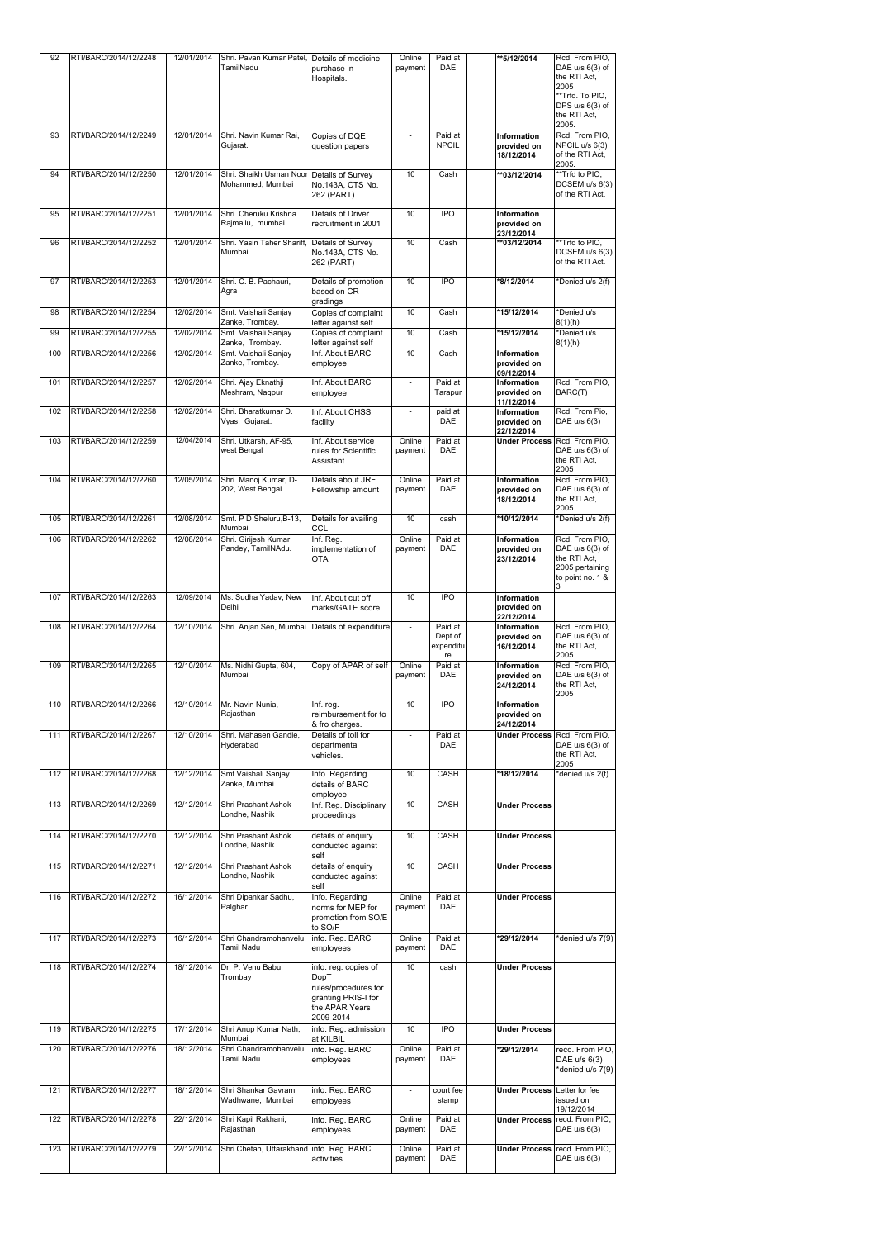| 92  | RTI/BARC/2014/12/2248 | 12/01/2014 | Shri. Pavan Kumar Patel,<br>TamilNadu                         | Details of medicine<br>purchase in<br>Hospitals.                                   | Online<br>payment        | Paid at<br><b>DAE</b>           | **5/12/2014                                     | Rcd. From PIO,<br>DAE $u/s$ 6(3) of<br>the RTI Act,<br>2005<br>**Trfd. To PIO,<br>DPS $u/s$ 6(3) of<br>the RTI Act,<br>2005. |
|-----|-----------------------|------------|---------------------------------------------------------------|------------------------------------------------------------------------------------|--------------------------|---------------------------------|-------------------------------------------------|------------------------------------------------------------------------------------------------------------------------------|
| 93  | RTI/BARC/2014/12/2249 | 12/01/2014 | Shri. Navin Kumar Rai,<br>Gujarat.                            | Copies of DQE<br>question papers                                                   |                          | Paid at<br><b>NPCIL</b>         | <b>Information</b><br>provided on<br>18/12/2014 | Rcd. From PIO,<br>NPCIL u/s 6(3)<br>of the RTI Act,<br>2005.                                                                 |
| 94  | RTI/BARC/2014/12/2250 | 12/01/2014 | Shri. Shaikh Usman Noor Details of Survey<br>Mohammed, Mumbai | No.143A, CTS No.<br>262 (PART)                                                     | 10                       | Cash                            | **03/12/2014                                    | **Trfd to PIO,<br>DCSEM u/s 6(3)<br>of the RTI Act.                                                                          |
| 95  | RTI/BARC/2014/12/2251 | 12/01/2014 | Shri. Cheruku Krishna<br>Rajmallu, mumbai                     | Details of Driver<br>recruitment in 2001                                           | 10                       | <b>IPO</b>                      | <b>Information</b><br>provided on<br>23/12/2014 |                                                                                                                              |
| 96  | RTI/BARC/2014/12/2252 | 12/01/2014 | Shri. Yasin Taher Shariff, Details of Survey<br>Mumbai        | No.143A, CTS No.<br>262 (PART)                                                     | 10                       | $\overline{C}$ ash              | **03/12/2014                                    | **Trfd to PIO,<br>DCSEM u/s 6(3)<br>of the RTI Act.                                                                          |
| 97  | RTI/BARC/2014/12/2253 | 12/01/2014 | Shri. C. B. Pachauri,<br>Agra                                 | Details of promotion<br>based on CR<br>gradings                                    | 10                       | <b>IPO</b>                      | *8/12/2014                                      | *Denied u/s 2(f)                                                                                                             |
| 98  | RTI/BARC/2014/12/2254 | 12/02/2014 | Smt. Vaishali Sanjay<br>Zanke, Trombay.                       | Copies of complaint<br>letter against self                                         | 10                       | Cash                            | *15/12/2014                                     | *Denied u/s<br>8(1)(h)                                                                                                       |
| 99  | RTI/BARC/2014/12/2255 | 12/02/2014 | Smt. Vaishali Sanjay<br>Zanke, Trombay.                       | Copies of complaint<br>letter against self                                         | 10                       | Cash                            | *15/12/2014                                     | *Denied u/s<br>8(1)(h)                                                                                                       |
| 100 | RTI/BARC/2014/12/2256 | 12/02/2014 | Smt. Vaishali Sanjay<br>Zanke, Trombay.                       | Inf. About BARC<br>employee                                                        | 10                       | Cash                            | <b>Information</b><br>provided on<br>09/12/2014 |                                                                                                                              |
| 101 | RTI/BARC/2014/12/2257 | 12/02/2014 | Shri. Ajay Eknathji<br>Meshram, Nagpur                        | Inf. About BARC<br>employee                                                        |                          | Paid at<br>Tarapur              | Information<br>provided on<br>11/12/2014        | Rcd. From PIO,<br>BARC(T)                                                                                                    |
| 102 | RTI/BARC/2014/12/2258 | 12/02/2014 | Shri. Bharatkumar D.<br>Vyas, Gujarat.                        | Inf. About CHSS<br>facility                                                        | $\overline{\phantom{a}}$ | paid at<br><b>DAE</b>           | <b>Information</b><br>provided on<br>22/12/2014 | Rcd. From Pio,<br>DAE u/s 6(3)                                                                                               |
| 103 | RTI/BARC/2014/12/2259 | 12/04/2014 | Shri. Utkarsh, AF-95,<br>west Bengal                          | Inf. About service<br>rules for Scientific<br>Assistant                            | Online<br>payment        | Paid at<br><b>DAE</b>           | <b>Under Process</b>                            | Rcd. From PIO,<br>DAE $u/s$ 6(3) of<br>the RTI Act,                                                                          |
| 104 | RTI/BARC/2014/12/2260 | 12/05/2014 | Shri. Manoj Kumar, D-<br>202, West Bengal.                    | Details about JRF<br>Fellowship amount                                             | Online<br>payment        | Paid at<br><b>DAE</b>           | <b>Information</b><br>provided on<br>18/12/2014 | 2005<br>Rcd. From PIO,<br>DAE $u/s$ 6(3) of<br>the RTI Act,<br>2005                                                          |
| 105 | RTI/BARC/2014/12/2261 | 12/08/2014 | Smt. P D Sheluru, B-13,<br>Mumbai                             | Details for availing<br><b>CCL</b>                                                 | 10                       | cash                            | *10/12/2014                                     | *Denied u/s 2(f)                                                                                                             |
| 106 | RTI/BARC/2014/12/2262 | 12/08/2014 | Shri. Girijesh Kumar<br>Pandey, TamilNAdu.                    | Inf. Reg.<br>implementation of<br><b>OTA</b>                                       | Online<br>payment        | Paid at<br><b>DAE</b>           | <b>Information</b><br>provided on<br>23/12/2014 | Rcd. From PIO,<br>DAE u/s 6(3) of<br>the RTI Act,<br>2005 pertaining<br>to point no. 1 &                                     |
| 107 | RTI/BARC/2014/12/2263 | 12/09/2014 | Ms. Sudha Yadav, New<br>Delhi                                 | Inf. About cut off<br>marks/GATE score                                             | 10                       | <b>IPO</b>                      | <b>Information</b><br>provided on<br>22/12/2014 |                                                                                                                              |
| 108 | RTI/BARC/2014/12/2264 | 12/10/2014 | Shri. Anjan Sen, Mumbai Details of expenditure                |                                                                                    | $\sim$                   | Paid at<br>Dept.of<br>expenditu | <b>Information</b><br>provided on<br>16/12/2014 | Rcd. From PIO,<br>DAE u/s 6(3) of<br>the RTI Act,                                                                            |
| 109 | RTI/BARC/2014/12/2265 | 12/10/2014 | Ms. Nidhi Gupta, 604,<br>Mumbai                               | Copy of APAR of self                                                               | Online<br>payment        | re<br>Paid at<br><b>DAE</b>     | <b>Information</b><br>provided on<br>24/12/2014 | 2005.<br>Rcd. From PIO,<br>DAE u/s 6(3) of<br>the RTI Act,<br>2005                                                           |
| 110 | RTI/BARC/2014/12/2266 | 12/10/2014 | Mr. Navin Nunia,<br>Rajasthan                                 | Inf. reg.<br>reimbursement for to<br>& fro charges.                                | 10                       | <b>IPO</b>                      | <b>Information</b><br>provided on<br>24/12/2014 |                                                                                                                              |
| 111 | RTI/BARC/2014/12/2267 | 12/10/2014 | Shri. Mahasen Gandle,<br>Hyderabad                            | Details of toll for<br>departmental<br>vehicles.                                   |                          | Paid at<br><b>DAE</b>           | <b>Under Process</b>                            | Rcd. From PIO,<br>DAE $u/s$ 6(3) of<br>the RTI Act,                                                                          |
| 112 | RTI/BARC/2014/12/2268 | 12/12/2014 | Smt Vaishali Sanjay<br>Zanke, Mumbai                          | Info. Regarding<br>details of BARC                                                 | 10                       | <b>CASH</b>                     | *18/12/2014                                     | 2005<br>*denied u/s 2(f)                                                                                                     |
| 113 | RTI/BARC/2014/12/2269 | 12/12/2014 | Shri Prashant Ashok<br>Londhe, Nashik                         | employee<br>Inf. Reg. Disciplinary<br>proceedings                                  | 10                       | <b>CASH</b>                     | <b>Under Process</b>                            |                                                                                                                              |
| 114 | RTI/BARC/2014/12/2270 | 12/12/2014 | Shri Prashant Ashok<br>Londhe, Nashik                         | details of enquiry<br>conducted against                                            | 10                       | <b>CASH</b>                     | <b>Under Process</b>                            |                                                                                                                              |
| 115 | RTI/BARC/2014/12/2271 | 12/12/2014 | <b>Shri Prashant Ashok</b><br>Londhe, Nashik                  | self<br>details of enquiry<br>conducted against                                    | 10                       | <b>CASH</b>                     | <b>Under Process</b>                            |                                                                                                                              |
| 116 | RTI/BARC/2014/12/2272 | 16/12/2014 | Shri Dipankar Sadhu,<br>Palghar                               | self<br>Info. Regarding<br>norms for MEP for<br>promotion from SO/E                | Online<br>payment        | Paid at<br><b>DAE</b>           | <b>Under Process</b>                            |                                                                                                                              |
| 117 | RTI/BARC/2014/12/2273 | 16/12/2014 | Shri Chandramohanvelu<br><b>Tamil Nadu</b>                    | to SO/F<br>info. Reg. BARC<br>employees                                            | Online<br>payment        | Paid at<br><b>DAE</b>           | *29/12/2014                                     | *denied u/s 7(9)                                                                                                             |
| 118 | RTI/BARC/2014/12/2274 | 18/12/2014 | Dr. P. Venu Babu,<br>Trombay                                  | info. reg. copies of<br><b>DopT</b><br>rules/procedures for<br>granting PRIS-I for | 10                       | cash                            | <b>Under Process</b>                            |                                                                                                                              |
| 119 | RTI/BARC/2014/12/2275 | 17/12/2014 | Shri Anup Kumar Nath,                                         | the APAR Years<br>2009-2014<br>info. Reg. admission                                | 10                       | <b>IPO</b>                      | <b>Under Process</b>                            |                                                                                                                              |
| 120 | RTI/BARC/2014/12/2276 | 18/12/2014 | Mumbai<br>Shri Chandramohanvelu,<br><b>Tamil Nadu</b>         | at KILBIL<br>info. Reg. BARC<br>employees                                          | Online<br>payment        | Paid at<br><b>DAE</b>           | *29/12/2014                                     | recd. From PIO,<br>DAE u/s 6(3)                                                                                              |
| 121 | RTI/BARC/2014/12/2277 | 18/12/2014 | Shri Shankar Gavram<br>Wadhwane, Mumbai                       | info. Reg. BARC<br>employees                                                       |                          | court fee<br>stamp              | <b>Under Process</b>                            | *denied u/s 7(9)<br>Letter for fee<br>issued on                                                                              |
| 122 | RTI/BARC/2014/12/2278 | 22/12/2014 | Shri Kapil Rakhani,<br>Rajasthan                              | info. Reg. BARC<br>employees                                                       | Online<br>payment        | Paid at<br><b>DAE</b>           | <b>Under Process</b>                            | 19/12/2014<br>recd. From PIO,<br>DAE u/s 6(3)                                                                                |
| 123 | RTI/BARC/2014/12/2279 | 22/12/2014 | Shri Chetan, Uttarakhand info. Reg. BARC                      | activities                                                                         | Online<br>payment        | Paid at<br><b>DAE</b>           | <b>Under Process</b>                            | recd. From PIO,<br>DAE u/s 6(3)                                                                                              |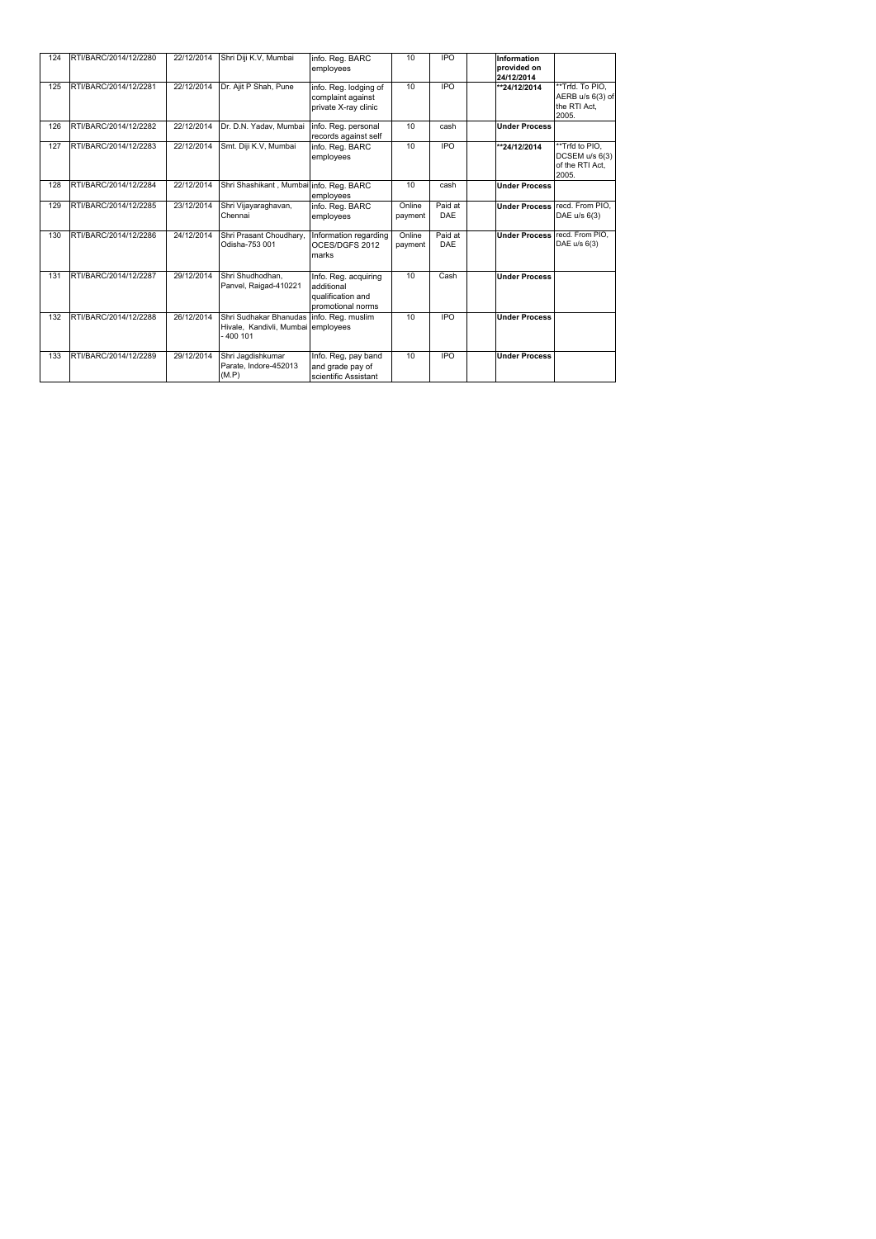| 124 | RTI/BARC/2014/12/2280 | 22/12/2014 | Shri Diji K.V, Mumbai                                                      | info. Reg. BARC<br>employees                                                 | 10                | <b>IPO</b>            | <b>Information</b><br>provided on<br>24/12/2014 |                                                              |
|-----|-----------------------|------------|----------------------------------------------------------------------------|------------------------------------------------------------------------------|-------------------|-----------------------|-------------------------------------------------|--------------------------------------------------------------|
| 125 | RTI/BARC/2014/12/2281 | 22/12/2014 | Dr. Ajit P Shah, Pune                                                      | info. Reg. lodging of<br>complaint against<br>private X-ray clinic           | 10                | $\overline{IPO}$      | **24/12/2014                                    | **Trfd. To PIO,<br>AERB u/s 6(3) of<br>the RTI Act,<br>2005. |
| 126 | RTI/BARC/2014/12/2282 | 22/12/2014 | Dr. D.N. Yadav, Mumbai                                                     | Info. Reg. personal<br>records against self                                  | 10                | cash                  | <b>Under Process</b>                            |                                                              |
| 127 | RTI/BARC/2014/12/2283 | 22/12/2014 | Smt. Diji K.V, Mumbai                                                      | info. Reg. BARC<br>employees                                                 | 10                | $\overline{IPO}$      | **24/12/2014                                    | **Trfd to PIO,<br>DCSEM u/s 6(3)<br>of the RTI Act,<br>2005. |
| 128 | RTI/BARC/2014/12/2284 | 22/12/2014 | Shri Shashikant, Mumbai info. Reg. BARC                                    | employees                                                                    | 10                | cash                  | <b>Under Process</b>                            |                                                              |
| 129 | RTI/BARC/2014/12/2285 | 23/12/2014 | Shri Vijayaraghavan,<br>Chennai                                            | info. Reg. BARC<br>employees                                                 | Online<br>payment | Paid at<br><b>DAE</b> |                                                 | Under Process recd. From PIO,<br>DAE u/s 6(3)                |
| 130 | RTI/BARC/2014/12/2286 | 24/12/2014 | Shri Prasant Choudhary,<br>Odisha-753 001                                  | Information regarding<br>OCES/DGFS 2012<br>marks                             | Online<br>payment | Paid at<br><b>DAE</b> | <b>Under Process recd. From PIO,</b>            | DAE u/s 6(3)                                                 |
| 131 | RTI/BARC/2014/12/2287 | 29/12/2014 | Shri Shudhodhan,<br>Panvel, Raigad-410221                                  | Info. Reg. acquiring<br>additional<br>qualification and<br>promotional norms | $\overline{10}$   | Cash                  | <b>Under Process</b>                            |                                                              |
| 132 | RTI/BARC/2014/12/2288 | 26/12/2014 | Shri Sudhakar Bhanudas<br>Hivale, Kandivli, Mumbai employees<br>$-400$ 101 | info. Reg. muslim                                                            | 10                | <b>IPO</b>            | <b>Under Process</b>                            |                                                              |
| 133 | RTI/BARC/2014/12/2289 | 29/12/2014 | Shri Jagdishkumar<br>Parate, Indore-452013<br>(M.P)                        | Info. Reg, pay band<br>and grade pay of<br>scientific Assistant              | 10                | <b>IPO</b>            | <b>Under Process</b>                            |                                                              |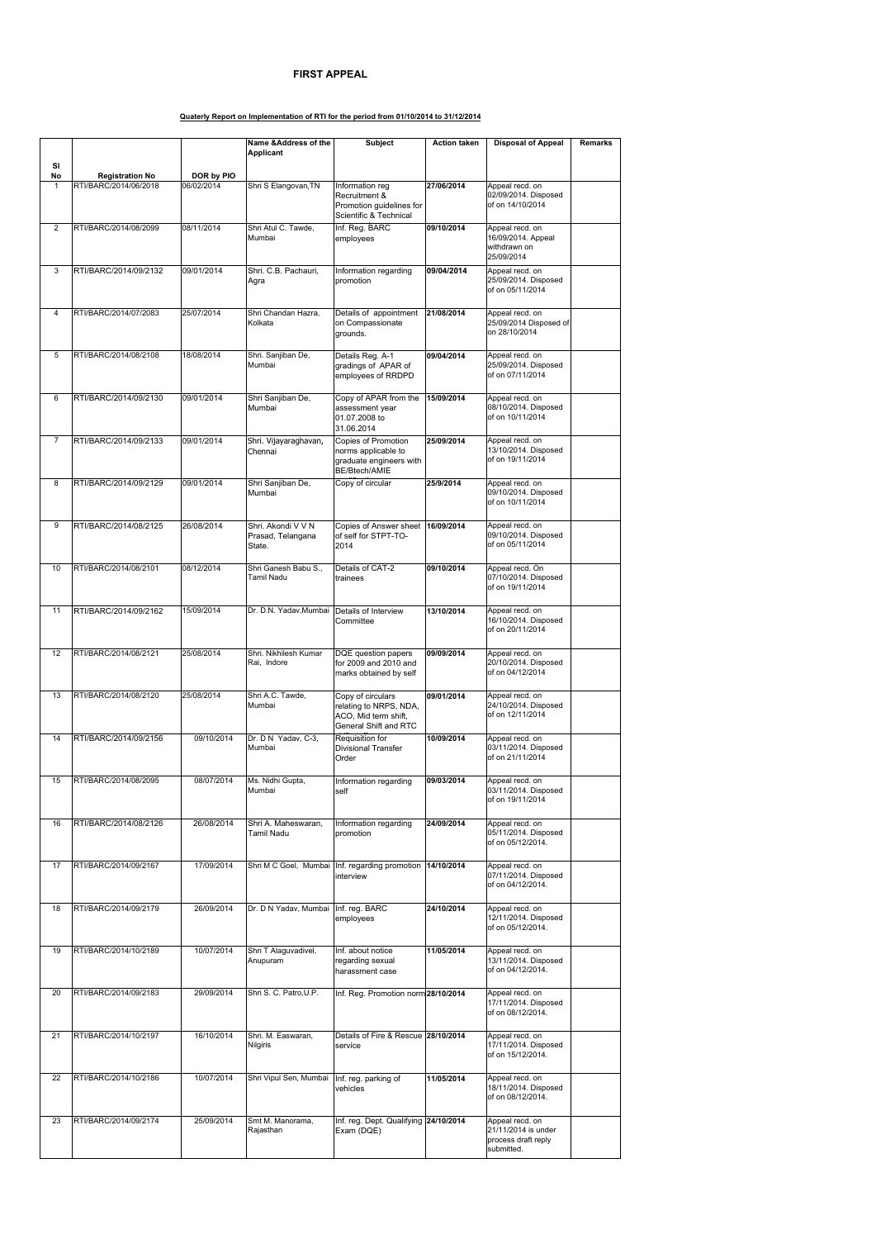|                |                        |            | Name & Address of the                             | <b>Subject</b>                                                                                      | <b>Action taken</b> | <b>Disposal of Appeal</b>                                                   | <b>Remarks</b> |
|----------------|------------------------|------------|---------------------------------------------------|-----------------------------------------------------------------------------------------------------|---------------------|-----------------------------------------------------------------------------|----------------|
| SI             |                        |            | <b>Applicant</b>                                  |                                                                                                     |                     |                                                                             |                |
| <b>No</b>      | <b>Registration No</b> | DOR by PIO |                                                   |                                                                                                     |                     |                                                                             |                |
| $\mathbf{1}$   | RTI/BARC/2014/06/2018  | 06/02/2014 | Shri S Elangovan, TN                              | Information reg<br>Recruitment &<br>Promotion guidelines for<br>Scientific & Technical              | 27/06/2014          | Appeal recd. on<br>02/09/2014. Disposed<br>of on 14/10/2014                 |                |
| $\overline{2}$ | RTI/BARC/2014/08/2099  | 08/11/2014 | Shri Atul C. Tawde,<br>Mumbai                     | Inf. Reg. BARC<br>employees                                                                         | 09/10/2014          | Appeal recd. on<br>16/09/2014. Appeal<br>withdrawn on<br>25/09/2014         |                |
| 3              | RTI/BARC/2014/09/2132  | 09/01/2014 | Shri. C.B. Pachauri,<br>Agra                      | Information regarding<br>promotion                                                                  | 09/04/2014          | Appeal recd. on<br>25/09/2014. Disposed<br>of on 05/11/2014                 |                |
| 4              | RTI/BARC/2014/07/2083  | 25/07/2014 | Shri Chandan Hazra,<br>Kolkata                    | Details of appointment<br>on Compassionate<br>grounds.                                              | 21/08/2014          | Appeal recd. on<br>25/09/2014 Disposed of<br>on 28/10/2014                  |                |
| 5              | RTI/BARC/2014/08/2108  | 18/08/2014 | Shri. Sanjiban De,<br>Mumbai                      | Details Reg. A-1<br>gradings of APAR of<br>employees of RRDPD                                       | 09/04/2014          | Appeal recd. on<br>25/09/2014. Disposed<br>of on 07/11/2014                 |                |
| 6              | RTI/BARC/2014/09/2130  | 09/01/2014 | Shri Sanjiban De,<br>Mumbai                       | Copy of APAR from the<br>assessment year<br>01.07.2008 to<br>31.06.2014                             | 15/09/2014          | Appeal recd. on<br>08/10/2014. Disposed<br>of on 10/11/2014                 |                |
| $\overline{7}$ | RTI/BARC/2014/09/2133  | 09/01/2014 | Shri. Vijayaraghavan,<br>Chennai                  | <b>Copies of Promotion</b><br>norms applicable to<br>graduate engineers with<br>BE/Btech/AMIE       | 25/09/2014          | Appeal recd. on<br>13/10/2014. Disposed<br>of on 19/11/2014                 |                |
| 8              | RTI/BARC/2014/09/2129  | 09/01/2014 | Shri Sanjiban De,<br>Mumbai                       | Copy of circular                                                                                    | 25/9/2014           | Appeal recd. on<br>09/10/2014. Disposed<br>of on 10/11/2014                 |                |
| 9              | RTI/BARC/2014/08/2125  | 26/08/2014 | Shri. Akondi V V N<br>Prasad, Telangana<br>State. | Copies of Answer sheet   16/09/2014<br>of self for STPT-TO-<br>2014                                 |                     | Appeal recd. on<br>09/10/2014. Disposed<br>of on 05/11/2014                 |                |
| 10             | RTI/BARC/2014/08/2101  | 08/12/2014 | Shri Ganesh Babu S.,<br>Tamil Nadu                | Details of CAT-2<br>trainees                                                                        | 09/10/2014          | Appeal recd. On<br>07/10/2014. Disposed<br>of on 19/11/2014                 |                |
| 11             | RTI/BARC/2014/09/2162  | 15/09/2014 | Dr. D.N. Yadav, Mumbai Details of Interview       | Committee                                                                                           | 13/10/2014          | Appeal recd. on<br>16/10/2014. Disposed<br>of on 20/11/2014                 |                |
| 12             | RTI/BARC/2014/08/2121  | 25/08/2014 | Shri. Nikhilesh Kumar<br>Rai, Indore              | DQE question papers<br>for 2009 and 2010 and<br>marks obtained by self                              | 09/09/2014          | Appeal recd. on<br>20/10/2014. Disposed<br>of on 04/12/2014                 |                |
| 13             | RTI/BARC/2014/08/2120  | 25/08/2014 | Shri A.C. Tawde,<br>Mumbai                        | Copy of circulars<br>relating to NRPS, NDA,<br>ACO, Mid term shift,<br><b>General Shift and RTC</b> | 09/01/2014          | Appeal recd. on<br>24/10/2014. Disposed<br>of on 12/11/2014                 |                |
| 14             | RTI/BARC/2014/09/2156  | 09/10/2014 | Dr. D N Yadav, C-3,<br>Mumbai                     | Requisition for<br><b>Divisional Transfer</b><br>Order                                              | 10/09/2014          | Appeal recd. on<br>03/11/2014. Disposed<br>of on 21/11/2014                 |                |
| 15             | RTI/BARC/2014/08/2095  | 08/07/2014 | Ms. Nidhi Gupta,<br>Mumbai                        | Information regarding<br>self                                                                       | 09/03/2014          | Appeal recd. on<br>03/11/2014. Disposed<br>of on 19/11/2014                 |                |
| 16             | RTI/BARC/2014/08/2126  | 26/08/2014 | Shri A. Maheswaran,<br>Tamil Nadu                 | Information regarding<br>promotion                                                                  | 24/09/2014          | Appeal recd. on<br>05/11/2014. Disposed<br>of on 05/12/2014.                |                |
| 17             | RTI/BARC/2014/09/2167  | 17/09/2014 |                                                   | Shri M C Goel, Mumbai   Inf. regarding promotion<br>interview                                       | 14/10/2014          | Appeal recd. on<br>07/11/2014. Disposed<br>of on 04/12/2014.                |                |
| 18             | RTI/BARC/2014/09/2179  | 26/09/2014 | Dr. D N Yadav, Mumbai   Inf. reg. BARC            | employees                                                                                           | 24/10/2014          | Appeal recd. on<br>12/11/2014. Disposed<br>of on 05/12/2014.                |                |
| 19             | RTI/BARC/2014/10/2189  | 10/07/2014 | Shri T Alaguvadivel,<br>Anupuram                  | Inf. about notice<br>regarding sexual<br>harassment case                                            | 11/05/2014          | Appeal recd. on<br>13/11/2014. Disposed<br>of on 04/12/2014.                |                |
| 20             | RTI/BARC/2014/09/2183  | 29/09/2014 | Shri S. C. Patro, U.P.                            | Inf. Reg. Promotion norm 28/10/2014                                                                 |                     | Appeal recd. on<br>17/11/2014. Disposed<br>of on 08/12/2014.                |                |
| 21             | RTI/BARC/2014/10/2197  | 16/10/2014 | Shri. M. Easwaran,<br><b>Nilgiris</b>             | Details of Fire & Rescue 28/10/2014<br>service                                                      |                     | Appeal recd. on<br>17/11/2014. Disposed<br>of on 15/12/2014.                |                |
| 22             | RTI/BARC/2014/10/2186  | 10/07/2014 | Shri Vipul Sen, Mumbai                            | Inf. reg. parking of<br>vehicles                                                                    | 11/05/2014          | Appeal recd. on<br>18/11/2014. Disposed<br>of on 08/12/2014.                |                |
| 23             | RTI/BARC/2014/09/2174  | 25/09/2014 | Smt M. Manorama,<br>Rajasthan                     | Inf. reg. Dept. Qualifying 24/10/2014<br>Exam (DQE)                                                 |                     | Appeal recd. on<br>21/11/2014 is under<br>process draft reply<br>submitted. |                |

## **FIRST APPEAL**

## **Quaterly Report on Implementation of RTI for the period from 01/10/2014 to 31/12/2014**